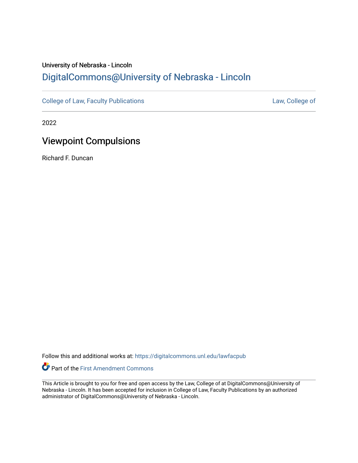# University of Nebraska - Lincoln [DigitalCommons@University of Nebraska - Lincoln](https://digitalcommons.unl.edu/)

[College of Law, Faculty Publications](https://digitalcommons.unl.edu/lawfacpub) **[Law, College of](https://digitalcommons.unl.edu/law) Law, College of** 

2022

# Viewpoint Compulsions

Richard F. Duncan

Follow this and additional works at: [https://digitalcommons.unl.edu/lawfacpub](https://digitalcommons.unl.edu/lawfacpub?utm_source=digitalcommons.unl.edu%2Flawfacpub%2F225&utm_medium=PDF&utm_campaign=PDFCoverPages) 

Part of the [First Amendment Commons](http://network.bepress.com/hgg/discipline/1115?utm_source=digitalcommons.unl.edu%2Flawfacpub%2F225&utm_medium=PDF&utm_campaign=PDFCoverPages) 

This Article is brought to you for free and open access by the Law, College of at DigitalCommons@University of Nebraska - Lincoln. It has been accepted for inclusion in College of Law, Faculty Publications by an authorized administrator of DigitalCommons@University of Nebraska - Lincoln.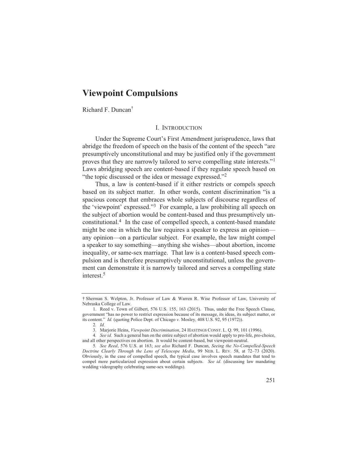# **Viewpoint Compulsions**

Richard F. Duncan<sup>†</sup>

#### I. INTRODUCTION

Under the Supreme Court's First Amendment jurisprudence, laws that abridge the freedom of speech on the basis of the content of the speech "are presumptively unconstitutional and may be justified only if the government proves that they are narrowly tailored to serve compelling state interests."<sup>1</sup> Laws abridging speech are content-based if they regulate speech based on "the topic discussed or the idea or message expressed."<sup>2</sup>

Thus, a law is content-based if it either restricts or compels speech based on its subject matter. In other words, content discrimination "is a spacious concept that embraces whole subjects of discourse regardless of the 'viewpoint' expressed."<sup>3</sup> For example, a law prohibiting all speech on the subject of abortion would be content-based and thus presumptively unconstitutional.<sup>4</sup> In the case of compelled speech, a content-based mandate might be one in which the law requires a speaker to express an opinion any opinion—on a particular subject. For example, the law might compel a speaker to say something—anything she wishes—about abortion, income inequality, or same-sex marriage. That law is a content-based speech compulsion and is therefore presumptively unconstitutional, unless the government can demonstrate it is narrowly tailored and serves a compelling state interest.<sup>5</sup>

<sup>†</sup> Sherman S. Welpton, Jr. Professor of Law & Warren R. Wise Professor of Law, University of Nebraska College of Law.

<sup>1.</sup> Reed v. Town of Gilbert, 576 U.S. 155, 163 (2015). Thus, under the Free Speech Clause, government "has no power to restrict expression because of its message, its ideas, its subject matter, or its content." Id. (quoting Police Dept. of Chicago v. Mosley, 408 U.S. 92, 95 (1972)).

<sup>2.</sup> Id.

<sup>3.</sup> Marjorie Heins, Viewpoint Discrimination, 24 HASTINGS CONST. L. Q. 99, 101 (1996).

<sup>4.</sup> See id. Such a general ban on the entire subject of abortion would apply to pro-life, pro-choice, and all other perspectives on abortion. It would be content-based, but viewpoint-neutral.

<sup>5.</sup> See Reed, 576 U.S. at 163; see also Richard F. Duncan, Seeing the No-Compelled-Speech Doctrine Clearly Through the Lens of Telescope Media, 99 NEB. L. REV. 58, at 72-73 (2020). Obviously, in the case of compelled speech, the typical case involves speech mandates that tend to compel more particularized expression about certain subjects. See id. (discussing law mandating wedding videography celebrating same-sex weddings).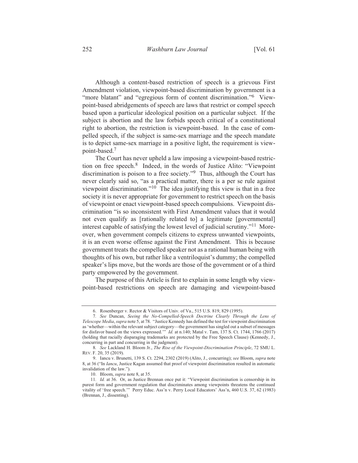Although a content-based restriction of speech is a grievous First Amendment violation, viewpoint-based discrimination by government is a "more blatant" and "egregious form of content discrimination."<sup>6</sup> Viewpoint-based abridgements of speech are laws that restrict or compel speech based upon a particular ideological position on a particular subject. If the subject is abortion and the law forbids speech critical of a constitutional right to abortion, the restriction is viewpoint-based. In the case of compelled speech, if the subject is same-sex marriage and the speech mandate is to depict same-sex marriage in a positive light, the requirement is viewpoint-based.<sup>7</sup>

The Court has never upheld a law imposing a viewpoint-based restriction on free speech.<sup>8</sup> Indeed, in the words of Justice Alito: "Viewpoint" discrimination is poison to a free society."<sup>9</sup> Thus, although the Court has never clearly said so, "as a practical matter, there is a per se rule against viewpoint discrimination."<sup>10</sup> The idea justifying this view is that in a free society it is never appropriate for government to restrict speech on the basis of viewpoint or enact viewpoint-based speech compulsions. Viewpoint discrimination "is so inconsistent with First Amendment values that it would not even qualify as [rationally related to] a legitimate [governmental] interest capable of satisfying the lowest level of judicial scrutiny."<sup>11</sup> Moreover, when government compels citizens to express unwanted viewpoints, it is an even worse offense against the First Amendment. This is because government treats the compelled speaker not as a rational human being with thoughts of his own, but rather like a ventriloquist's dummy; the compelled speaker's lips move, but the words are those of the government or of a third party empowered by the government.

The purpose of this Article is first to explain in some length why viewpoint-based restrictions on speech are damaging and viewpoint-based

<sup>6.</sup> Rosenberger v. Rector & Visitors of Univ. of Va., 515 U.S. 819, 829 (1995).

<sup>7.</sup> See Duncan, Seeing the No-Compelled-Speech Doctrine Clearly Through the Lens of Telescope Media, supra note 5, at 78. "Justice Kennedy has defined the test for viewpoint discrimination as 'whether—within the relevant subject category—the government has singled out a subset of messages for disfavor based on the views expressed." *Id.* at n.140; Matal v. Tam, 137 S. Ct. 1744, 1766 (2017) (holding that racially disparaging trademarks are protected by the Free Speech Clause) (Kennedy, J., concurring in part and concurring in the judgment).

<sup>8.</sup> See Lackland H. Bloom Jr., The Rise of the Viewpoint-Discrimination Principle, 72 SMU L. REV. F. 20, 35 (2019).

<sup>9.</sup> Iancu v. Brunetti, 139 S. Ct. 2294, 2302 (2019) (Alito, J., concurring); see Bloom, supra note 8, at 36 ("In *Iancu*, Justice Kagan assumed that proof of viewpoint discrimination resulted in automatic invalidation of the law.").

<sup>10.</sup> Bloom, *supra* note 8, at 35.

<sup>11.</sup> Id. at 36. Or, as Justice Brennan once put it: "Viewpoint discrimination is censorship in its purest form and government regulation that discriminates among viewpoints threatens the continued vitality of 'free speech.'" Perry Educ. Ass'n v. Perry Local Educators' Ass'n, 460 U.S. 37, 62 (1983) (Brennan, J., dissenting).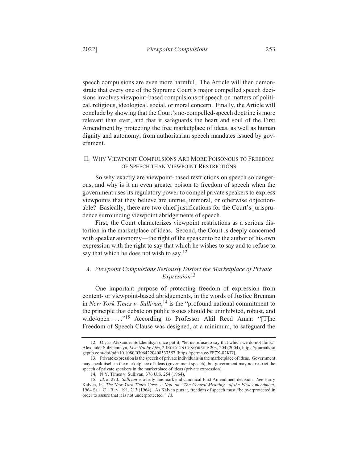20221

speech compulsions are even more harmful. The Article will then demonstrate that every one of the Supreme Court's major compelled speech decisions involves viewpoint-based compulsions of speech on matters of political, religious, ideological, social, or moral concern. Finally, the Article will conclude by showing that the Court's no-compelled-speech doctrine is more relevant than ever, and that it safeguards the heart and soul of the First Amendment by protecting the free marketplace of ideas, as well as human dignity and autonomy, from authoritarian speech mandates issued by government

#### II. WHY VIEWPOINT COMPULSIONS ARE MORE POISONOUS TO FREEDOM OF SPEECH THAN VIEWPOINT RESTRICTIONS

So why exactly are viewpoint-based restrictions on speech so dangerous, and why is it an even greater poison to freedom of speech when the government uses its regulatory power to compel private speakers to express viewpoints that they believe are untrue, immoral, or otherwise objectionable? Basically, there are two chief justifications for the Court's jurisprudence surrounding viewpoint abridgements of speech.

First, the Court characterizes viewpoint restrictions as a serious distortion in the marketplace of ideas. Second, the Court is deeply concerned with speaker autonomy—the right of the speaker to be the author of his own expression with the right to say that which he wishes to say and to refuse to say that which he does not wish to say.<sup>12</sup>

# A. Viewpoint Compulsions Seriously Distort the Marketplace of Private  $Expression<sup>13</sup>$

One important purpose of protecting freedom of expression from content- or viewpoint-based abridgements, in the words of Justice Brennan in New York Times v. Sullivan,  $14$  is the "profound national commitment to the principle that debate on public issues should be uninhibited, robust, and wide-open . . . . "<sup>15</sup> According to Professor Akil Reed Amar: "[T]he Freedom of Speech Clause was designed, at a minimum, to safeguard the

<sup>12.</sup> Or, as Alexander Solzhenitsyn once put it, "let us refuse to say that which we do not think." Alexander Solzhenitsyn, Live Not by Lies, 2 INDEX ON CENSORSHIP 203, 204 (2004), https://journals.sa gepub.com/doi/pdf/10.1080/03064220408537357 [https://perma.cc/FF7X-82KD].

<sup>13.</sup> Private expression is the speech of private individuals in the marketplace of ideas. Government may speak itself in the marketplace of ideas (government speech), but government may not restrict the speech of private speakers in the marketplace of ideas (private expression).

<sup>14.</sup> N.Y. Times v. Sullivan, 376 U.S. 254 (1964).

<sup>15.</sup> Id. at 270. Sullivan is a truly landmark and canonical First Amendment decision. See Harry Kalven, Jr., The New York Times Case: A Note on "The Central Meaning" of the First Amendment, 1964 SUP. CT. REV. 191, 213 (1964). As Kalven puts it, freedom of speech must "be overprotected in order to assure that it is not underprotected." Id.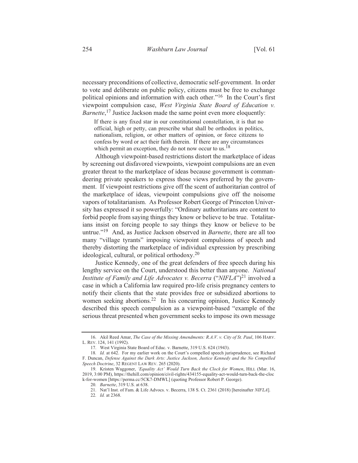necessary preconditions of collective, democratic self-government. In order to vote and deliberate on public policy, citizens must be free to exchange political opinions and information with each other."<sup>16</sup> In the Court's first viewpoint compulsion case, West Virginia State Board of Education v. *Barnette*,<sup>17</sup> Justice Jackson made the same point even more eloquently:

If there is any fixed star in our constitutional constellation, it is that no official, high or petty, can prescribe what shall be orthodox in politics, nationalism, religion, or other matters of opinion, or force citizens to confess by word or act their faith therein. If there are any circumstances which permit an exception, they do not now occur to us.<sup>18</sup>

Although viewpoint-based restrictions distort the marketplace of ideas by screening out disfavored viewpoints, viewpoint compulsions are an even greater threat to the marketplace of ideas because government is commandeering private speakers to express those views preferred by the government. If viewpoint restrictions give off the scent of authoritarian control of the marketplace of ideas, viewpoint compulsions give off the noisome vapors of totalitarianism. As Professor Robert George of Princeton University has expressed it so powerfully: "Ordinary authoritarians are content to forbid people from saying things they know or believe to be true. Totalitarians insist on forcing people to say things they know or believe to be untrue."<sup>19</sup> And, as Justice Jackson observed in *Barnette*, there are all too many "village tyrants" imposing viewpoint compulsions of speech and thereby distorting the marketplace of individual expression by prescribing ideological, cultural, or political orthodoxy.<sup>20</sup>

Justice Kennedy, one of the great defenders of free speech during his lengthy service on the Court, understood this better than anyone. National *Institute of Family and Life Advocates v. Becerra*  $("NIFLA")^{21}$  involved a case in which a California law required pro-life crisis pregnancy centers to notify their clients that the state provides free or subsidized abortions to women seeking abortions.<sup>22</sup> In his concurring opinion, Justice Kennedy described this speech compulsion as a viewpoint-based "example of the serious threat presented when government seeks to impose its own message

<sup>16.</sup> Akil Reed Amar, The Case of the Missing Amendments: R.A.V. v. City of St. Paul, 106 HARV. L. REV. 124, 141 (1992).

<sup>17.</sup> West Virginia State Board of Educ. v. Barnette, 319 U.S. 624 (1943).<br>18. Id. at 642. For my earlier work on the Court's compelled speech jurisprudence, see Richard F. Duncan, Defense Against the Dark Arts: Justice Jackson, Justice Kennedy and the No Compelled Speech Doctrine, 32 REGENT LAW REV. 265 (2020).

<sup>19.</sup> Kristen Waggoner, 'Equality Act' Would Turn Back the Clock for Women, HILL (Mar. 16, 2019, 3:00 PM), https://thehill.com/opinion/civil-rights/434155-equality-act-would-turn-back-the-cloc k-for-women [https://perma.cc/5CK7-DMWL] (quoting Professor Robert P. George).

<sup>20.</sup> Barnette, 319 U.S. at 638.

<sup>21.</sup> Nat'l Inst. of Fam. & Life Advocs. v. Becerra, 138 S. Ct. 2361 (2018) [hereinafter NIFLA].

<sup>22.</sup> Id. at 2368.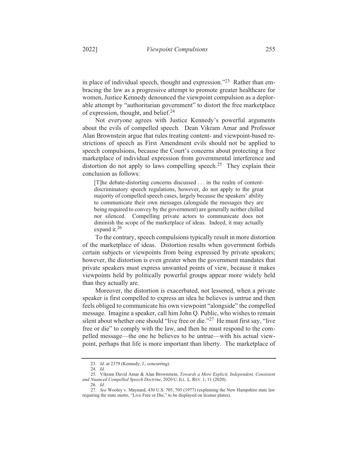in place of individual speech, thought and expression."<sup>23</sup> Rather than embracing the law as a progressive attempt to promote greater healthcare for women, Justice Kennedy denounced the viewpoint compulsion as a deplorable attempt by "authoritarian government" to distort the free marketplace of expression, thought, and belief.<sup>24</sup>

Not everyone agrees with Justice Kennedy's powerful arguments about the evils of compelled speech. Dean Vikram Amar and Professor Alan Brownstein argue that rules treating content- and viewpoint-based restrictions of speech as First Amendment evils should not be applied to speech compulsions, because the Court's concerns about protecting a free marketplace of individual expression from governmental interference and distortion do not apply to laws compelling speech.<sup>25</sup> They explain their conclusion as follows:

[T]he debate-distorting concerns discussed . . . in the realm of contentdiscriminatory speech regulations, however, do not apply to the great majority of compelled speech cases, largely because the speakers' ability to communicate their own messages (alongside the messages they are being required to convey by the government) are generally neither chilled nor silenced. Compelling private actors to communicate does not diminish the scope of the marketplace of ideas. Indeed, it may actually expand it.<sup>26</sup>

To the contrary, speech compulsions typically result in more distortion of the marketplace of ideas. Distortion results when government forbids certain subjects or viewpoints from being expressed by private speakers; however, the distortion is even greater when the government mandates that private speakers must express unwanted points of view, because it makes viewpoints held by politically powerful groups appear more widely held than they actually are.

Moreover, the distortion is exacerbated, not lessened, when a private speaker is first compelled to express an idea he believes is untrue and then feels obliged to communicate his own viewpoint "alongside" the compelled message. Imagine a speaker, call him John O. Public, who wishes to remain silent about whether one should "live free or die."<sup>27</sup> He must first say, "live" free or die" to comply with the law, and then he must respond to the compelled message—the one he believes to be untrue—with his actual viewpoint, perhaps that life is more important than liberty. The marketplace of

<sup>23.</sup> Id. at 2379 (Kennedy, J., concurring).

<sup>24.</sup> Id.

<sup>25.</sup> Vikram David Amar & Alan Brownstein, Towards a More Explicit, Independent, Consistent and Nuanced Compelled Speech Doctrine, 2020 U. ILL. L. REV. 1, 11 (2020).

<sup>26.</sup> Id.

<sup>27.</sup> See Wooley v. Maynard, 430 U.S. 705, 705 (1977) (explaining the New Hampshire state law requiring the state motto, "Live Free or Die," to be displayed on license plates).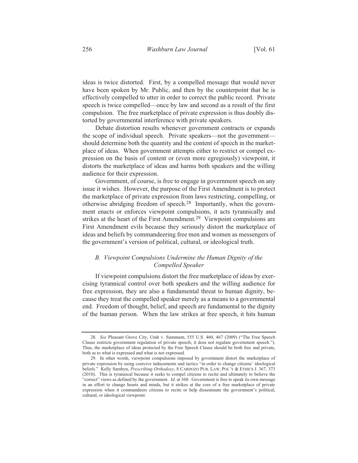ideas is twice distorted. First, by a compelled message that would never have been spoken by Mr. Public, and then by the counterpoint that he is effectively compelled to utter in order to correct the public record. Private speech is twice compelled—once by law and second as a result of the first compulsion. The free marketplace of private expression is thus doubly distorted by governmental interference with private speakers.

Debate distortion results whenever government contracts or expands the scope of individual speech. Private speakers—not the government should determine both the quantity and the content of speech in the marketplace of ideas. When government attempts either to restrict or compel expression on the basis of content or (even more egregiously) viewpoint, it distorts the marketplace of ideas and harms both speakers and the willing audience for their expression.

Government, of course, is free to engage in government speech on any issue it wishes. However, the purpose of the First Amendment is to protect the marketplace of private expression from laws restricting, compelling, or otherwise abridging freedom of speech.<sup>28</sup> Importantly, when the government enacts or enforces viewpoint compulsions, it acts tyrannically and strikes at the heart of the First Amendment.<sup>29</sup> Viewpoint compulsions are First Amendment evils because they seriously distort the marketplace of ideas and beliefs by commandeering free men and women as messengers of the government's version of political, cultural, or ideological truth.

### B. Viewpoint Compulsions Undermine the Human Dignity of the Compelled Speaker

If viewpoint compulsions distort the free marketplace of ideas by exercising tyrannical control over both speakers and the willing audience for free expression, they are also a fundamental threat to human dignity, because they treat the compelled speaker merely as a means to a governmental end. Freedom of thought, belief, and speech are fundamental to the dignity of the human person. When the law strikes at free speech, it hits human

<sup>28.</sup> See Pleasant Grove City, Utah v. Summum, 555 U.S. 460, 467 (2009) ("The Free Speech Clause restricts government regulation of private speech; it does not regulate government speech."). Thus, the marketplace of ideas protected by the Free Speech Clause should be both free and private, both as to what is expressed and what is not expressed.

<sup>29.</sup> In other words, viewpoint compulsions imposed by government distort the marketplace of private expression by using coercive inducements and tactics "in order to change citizens' ideological beliefs." Kelly Sarabyn, *Prescribing Orthodoxy*, 8 CARDOZO PUB. LAW, POL'Y & ETHICS J. 367, 373 (2010). This is tyrannical because it seeks to compel citizens to recite and ultimately to believe the "correct" views as defined by the government. Id. at 368. Government is free to speak its own message in an effort to change hearts and minds, but it strikes at the core of a free marketplace of private expression when it commandeers citizens to recite or help disseminate the government's political, cultural, or ideological viewpoint.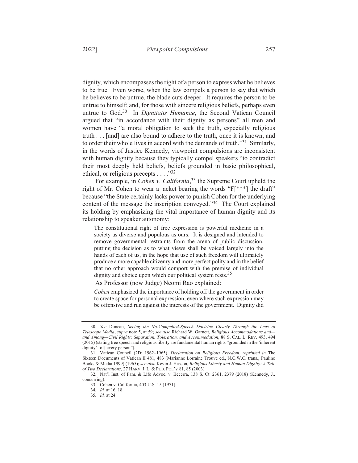dignity, which encompasses the right of a person to express what he believes to be true. Even worse, when the law compels a person to say that which he believes to be untrue, the blade cuts deeper. It requires the person to be untrue to himself; and, for those with sincere religious beliefs, perhaps even untrue to God.<sup>30</sup> In *Dignitatis Humanae*, the Second Vatican Council argued that "in accordance with their dignity as persons" all men and women have "a moral obligation to seek the truth, especially religious truth . . . [and] are also bound to adhere to the truth, once it is known, and to order their whole lives in accord with the demands of truth.<sup>31</sup> Similarly, in the words of Justice Kennedy, viewpoint compulsions are inconsistent

with human dignity because they typically compel speakers "to contradict" their most deeply held beliefs, beliefs grounded in basic philosophical, ethical, or religious precepts  $\ldots$ ."32

For example, in *Cohen v. California*,<sup>33</sup> the Supreme Court upheld the right of Mr. Cohen to wear a jacket bearing the words " $F[***]$  the draft" because "the State certainly lacks power to punish Cohen for the underlying content of the message the inscription conveyed."<sup>34</sup> The Court explained its holding by emphasizing the vital importance of human dignity and its relationship to speaker autonomy:

The constitutional right of free expression is powerful medicine in a society as diverse and populous as ours. It is designed and intended to remove governmental restraints from the arena of public discussion, putting the decision as to what views shall be voiced largely into the hands of each of us, in the hope that use of such freedom will ultimately produce a more capable citizenry and more perfect polity and in the belief that no other approach would comport with the premise of individual dignity and choice upon which our political system rests.<sup>35</sup>

As Professor (now Judge) Neomi Rao explained:

*Cohen* emphasized the importance of holding off the government in order to create space for personal expression, even where such expression may be offensive and run against the interests of the government. Dignity did

34. *Id.* at 16, 18.

<sup>30.</sup> See Duncan, Seeing the No-Compelled-Speech Doctrine Clearly Through the Lens of *Telescope Media, supra* note 5, at 59; see also Richard W. Garnett, Religious Accommodations and and Among—Civil Rights: Separation, Toleration, and Accommodation, 88 S. CAL. L. REV. 493, 494 (2015) (stating free speech and religious liberty are fundamental human rights "grounded in the 'inherent dignity' [of] every person").

<sup>31.</sup> Vatican Council (2D: 1962-1965), *Declaration on Religious Freedom*, *reprinted in* The Sixteen Documents of Vatican II 481, 483 (Marianne Lorraine Trouve ed., N.C.W.C. trans., Pauline Books & Media 1999) (1965); see also Kevin J. Hasson, Religious Liberty and Human Dignity: A Tale *of Two Declarations*, 27 HARV. J. L. & PUB. POL'Y 81, 85 (2003).

<sup>32.</sup> Nat'l Inst. of Fam. & Life Advoc. v. Becerra, 138 S. Ct. 2361, 2379 (2018) (Kennedy, J., concurring).

<sup>33.</sup> Cohen v. California, 403 U.S. 15 (1971).

<sup>35.</sup> *Id.* at 24.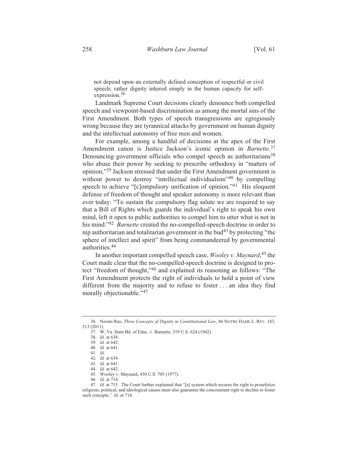not depend upon an externally defined conception of respectful or civil speech; rather dignity inhered simply in the human capacity for selfexpression.<sup>36</sup>

Landmark Supreme Court decisions clearly denounce both compelled speech and viewpoint-based discrimination as among the mortal sins of the First Amendment. Both types of speech transgressions are egregiously wrong because they are tyrannical attacks by government on human dignity and the intellectual autonomy of free men and women.

For example, among a handful of decisions at the apex of the First Amendment canon is Justice Jackson's iconic opinion in Barnette.<sup>37</sup> Denouncing government officials who compel speech as authoritarians<sup>38</sup> who abuse their power by seeking to prescribe orthodoxy in "matters of opinion,"<sup>39</sup> Jackson stressed that under the First Amendment government is without power to destroy "intellectual individualism"<sup>40</sup> by compelling speech to achieve "[c]ompulsory unification of opinion."41 His eloquent defense of freedom of thought and speaker autonomy is more relevant than ever today: "To sustain the compulsory flag salute we are required to say that a Bill of Rights which guards the individual's right to speak his own mind, left it open to public authorities to compel him to utter what is not in his mind."<sup>42</sup> *Barnette* created the no-compelled-speech doctrine in order to nip authoritarian and totalitarian government in the bud<sup>43</sup> by protecting "the sphere of intellect and spirit" from being commandeered by governmental authorities.<sup>44</sup>

In another important compelled speech case, *Wooley v. Maynard*<sup>45</sup>, the Court made clear that the no-compelled-speech doctrine is designed to protect "freedom of thought,"46 and explained its reasoning as follows: "The First Amendment protects the right of individuals to hold a point of view different from the majority and to refuse to foster . . . an idea they find morally objectionable."47

<sup>36.</sup> Neomi Rao, Three Concepts of Dignity in Constitutional Law, 86 NOTRE DAME L. REV. 183, 213 (2011).

<sup>37.</sup> W. Va. State Bd. of Educ. v. Barnette, 319 U.S. 624 (1942).

<sup>38.</sup> Id. at 638.

<sup>39.</sup> Id. at 642.

<sup>40.</sup> Id. at 641.

 $41.$  Id.

<sup>42.</sup> Id. at 634.

<sup>43.</sup> Id. at 641.

<sup>44.</sup> Id. at 642.

<sup>45.</sup> Wooley v. Maynard, 430 U.S. 705 (1977).<br>46. Id. at 714.

<sup>47.</sup> Id. at 715. The Court further explained that "[a] system which secures the right to proselytize religious, political, and ideological causes must also guarantee the concomitant right to decline to foster such concepts." Id. at 714.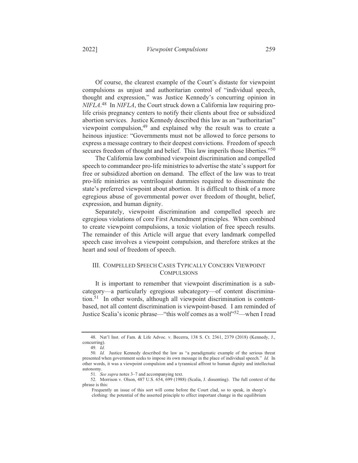Of course, the clearest example of the Court's distaste for viewpoint compulsions as unjust and authoritarian control of "individual speech, thought and expression," was Justice Kennedy's concurring opinion in  $NIFLA<sup>48</sup>$  In NIFLA, the Court struck down a California law requiring prolife crisis pregnancy centers to notify their clients about free or subsidized abortion services. Justice Kennedy described this law as an "authoritarian" viewpoint compulsion,<sup>49</sup> and explained why the result was to create a heinous injustice: "Governments must not be allowed to force persons to express a message contrary to their deepest convictions. Freedom of speech secures freedom of thought and belief. This law imperils those liberties."<sup>50</sup>

The California law combined viewpoint discrimination and compelled speech to commandeer pro-life ministries to advertise the state's support for free or subsidized abortion on demand. The effect of the law was to treat pro-life ministries as ventriloquist dummies required to disseminate the state's preferred viewpoint about abortion. It is difficult to think of a more egregious abuse of governmental power over freedom of thought, belief, expression, and human dignity.

Separately, viewpoint discrimination and compelled speech are egregious violations of core First Amendment principles. When combined to create viewpoint compulsions, a toxic violation of free speech results. The remainder of this Article will argue that every landmark compelled speech case involves a viewpoint compulsion, and therefore strikes at the heart and soul of freedom of speech.

# III. COMPELLED SPEECH CASES TYPICALLY CONCERN VIEWPOINT **COMPULSIONS**

It is important to remember that viewpoint discrimination is a subcategory-a particularly egregious subcategory-of content discrimination.<sup>51</sup> In other words, although all viewpoint discrimination is contentbased, not all content discrimination is viewpoint-based. I am reminded of Justice Scalia's iconic phrase—"this wolf comes as a wolf"<sup>52</sup>—when I read

<sup>48.</sup> Nat'l Inst. of Fam. & Life Advoc. v. Becerra, 138 S. Ct. 2361, 2379 (2018) (Kennedy, J., concurring).

<sup>49.</sup> *Id.* 

<sup>50.</sup> Id. Justice Kennedy described the law as "a paradigmatic example of the serious threat presented when government seeks to impose its own message in the place of individual speech." Id. In other words, it was a viewpoint compulsion and a tyrannical affront to human dignity and intellectual autonomy.

<sup>51.</sup> See supra notes 3-7 and accompanying text.

<sup>52.</sup> Morrison v. Olson, 487 U.S. 654, 699 (1988) (Scalia, J. dissenting). The full context of the phrase is this:

Frequently an issue of this sort will come before the Court clad, so to speak, in sheep's clothing: the potential of the asserted principle to effect important change in the equilibrium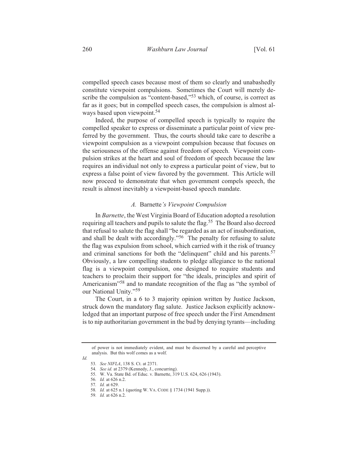compelled speech cases because most of them so clearly and unabashedly constitute viewpoint compulsions. Sometimes the Court will merely describe the compulsion as "content-based,"<sup>53</sup> which, of course, is correct as far as it goes; but in compelled speech cases, the compulsion is almost always based upon viewpoint.<sup>54</sup>

Indeed, the purpose of compelled speech is typically to require the compelled speaker to express or disseminate a particular point of view preferred by the government. Thus, the courts should take care to describe a viewpoint compulsion as a viewpoint compulsion because that focuses on the seriousness of the offense against freedom of speech. Viewpoint compulsion strikes at the heart and soul of freedom of speech because the law requires an individual not only to express a particular point of view, but to express a false point of view favored by the government. This Article will now proceed to demonstrate that when government compels speech, the result is almost inevitably a viewpoint-based speech mandate.

#### A. Barnette's Viewpoint Compulsion

In Barnette, the West Virginia Board of Education adopted a resolution requiring all teachers and pupils to salute the flag.<sup>55</sup> The Board also decreed that refusal to salute the flag shall "be regarded as an act of insubordination, and shall be dealt with accordingly."<sup>56</sup> The penalty for refusing to salute the flag was expulsion from school, which carried with it the risk of truancy and criminal sanctions for both the "delinquent" child and his parents.<sup>57</sup> Obviously, a law compelling students to pledge allegiance to the national flag is a viewpoint compulsion, one designed to require students and teachers to proclaim their support for "the ideals, principles and spirit of Americanism<sup>358</sup> and to mandate recognition of the flag as "the symbol of our National Unity."59

The Court, in a 6 to 3 majority opinion written by Justice Jackson, struck down the mandatory flag salute. Justice Jackson explicitly acknowledged that an important purpose of free speech under the First Amendment is to nip authoritarian government in the bud by denying tyrants—including

 $Id$ 

of power is not immediately evident, and must be discerned by a careful and perceptive analysis. But this wolf comes as a wolf.

<sup>53.</sup> See NIFLA, 138 S. Ct. at 2371.

<sup>54.</sup> See id. at 2379 (Kennedy, J., concurring).

<sup>55.</sup> W. Va. State Bd. of Educ. v. Barnette, 319 U.S. 624, 626 (1943).<br>56. Id. at 626 n.2.

<sup>57.</sup> *Id.* at 629.

<sup>58.</sup> Id. at 625 n.1 (quoting W. VA. CODE § 1734 (1941 Supp.)).

<sup>59.</sup> *Id.* at 626 n.2.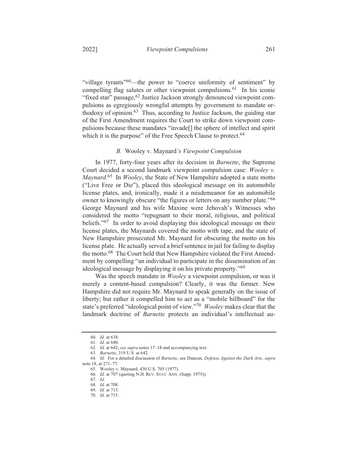"village tyrants"<sup>60</sup>—the power to "coerce uniformity of sentiment" by compelling flag salutes or other viewpoint compulsions.<sup>61</sup> In his iconic "fixed star" passage, <sup>62</sup> Justice Jackson strongly denounced viewpoint compulsions as egregiously wrongful attempts by government to mandate orthodoxy of opinion.<sup>63</sup> Thus, according to Justice Jackson, the guiding star of the First Amendment requires the Court to strike down viewpoint compulsions because these mandates "invade<sup>[]</sup> the sphere of intellect and spirit which it is the purpose" of the Free Speech Clause to protect.<sup>64</sup>

#### B. Wooley v. Maynard's Viewpoint Compulsion

In 1977, forty-four years after its decision in *Barnette*, the Supreme Court decided a second landmark viewpoint compulsion case: Wooley v. Maynard.<sup>65</sup> In *Wooley*, the State of New Hampshire adopted a state motto ("Live Free or Die"), placed this ideological message on its automobile license plates, and, ironically, made it a misdemeanor for an automobile owner to knowingly obscure "the figures or letters on any number plate."66 George Maynard and his wife Maxine were Jehovah's Witnesses who considered the motto "repugnant to their moral, religious, and political beliefs."<sup>67</sup> In order to avoid displaying this ideological message on their license plates, the Maynards covered the motto with tape, and the state of New Hampshire prosecuted Mr. Maynard for obscuring the motto on his license plate. He actually served a brief sentence in jail for failing to display the motto.<sup>68</sup> The Court held that New Hampshire violated the First Amendment by compelling "an individual to participate in the dissemination of an ideological message by displaying it on his private property."<sup>69</sup>

Was the speech mandate in *Wooley* a viewpoint compulsion, or was it merely a content-based compulsion? Clearly, it was the former. New Hampshire did not require Mr. Maynard to speak generally on the issue of liberty; but rather it compelled him to act as a "mobile billboard" for the state's preferred "ideological point of view."<sup>70</sup> Wooley makes clear that the landmark doctrine of Barnette protects an individual's intellectual au-

<sup>60.</sup> Id. at 638.

<sup>61.</sup> *Id.* at 640.

<sup>62.</sup> *Id.* at 642; *see supra* notes  $17-18$  and accompanying text.<br>63. *Barnette*, 319 U.S. at 642.

<sup>64.</sup> Id. For a detailed discussion of Barnette, see Duncan, Defense Against the Dark Arts, supra note 18, at 271-77.

<sup>65.</sup> Wooley v. Maynard, 430 U.S. 705 (1977).

<sup>66.</sup> Id. at 707 (quoting N.H. REV. STAT. ANN. (Supp. 1975)).

<sup>67.</sup> Id.

<sup>68.</sup> Id. at 708.

<sup>69.</sup> Id. at 713.

<sup>70.</sup> Id. at 715.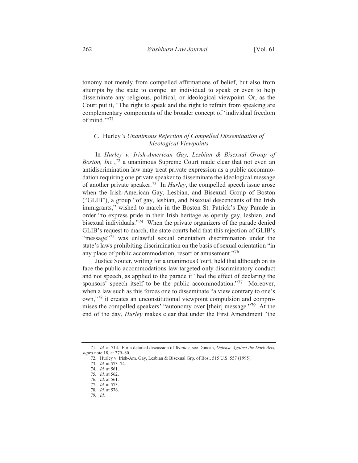tonomy not merely from compelled affirmations of belief, but also from attempts by the state to compel an individual to speak or even to help disseminate any religious, political, or ideological viewpoint. Or, as the Court put it, "The right to speak and the right to refrain from speaking are complementary components of the broader concept of 'individual freedom of mind  $\cdot$ <sup>71</sup>

# *C.* Hurley's Unanimous Rejection of Compelled Dissemination of *Ideological Viewpoints*

In *Hurley v. Irish-American Gay, Lesbian & Bisexual Group of Boston, Inc.*,<sup>72</sup> a unanimous Supreme Court made clear that not even an antidiscrimination law may treat private expression as a public accommodation requiring one private speaker to disseminate the ideological message of another private speaker.<sup>73</sup> In *Hurley*, the compelled speech issue arose when the Irish-American Gay, Lesbian, and Bisexual Group of Boston ("GLIB"), a group "of gay, lesbian, and bisexual descendants of the Irish immigrants," wished to march in the Boston St. Patrick's Day Parade in order "to express pride in their Irish heritage as openly gay, lesbian, and bisexual individuals."<sup>74</sup> When the private organizers of the parade denied GLIB's request to march, the state courts held that this rejection of GLIB's "message"<sup>75</sup> was unlawful sexual orientation discrimination under the state's laws prohibiting discrimination on the basis of sexual orientation "in any place of public accommodation, resort or amusement."<sup>76</sup>

Justice Souter, writing for a unanimous Court, held that although on its face the public accommodations law targeted only discriminatory conduct and not speech, as applied to the parade it "had the effect of declaring the sponsors' speech itself to be the public accommodation."<sup>77</sup> Moreover, when a law such as this forces one to disseminate "a view contrary to one's own,"<sup>78</sup> it creates an unconstitutional viewpoint compulsion and compromises the compelled speakers' "autonomy over [their] message."<sup>79</sup> At the end of the day, *Hurley* makes clear that under the First Amendment "the

*. Id.*

<sup>71.</sup> *Id.* at 714. For a detailed discussion of Wooley, see Duncan, Defense Against the Dark Arts, *supra* note 18, at 279–80.

<sup>72.</sup> Hurley v. Irish-Am. Gay, Lesbian & Bisexual Grp. of Bos., 515 U.S. 557 (1995).

<sup>73.</sup> *Id.* at 573-74.

<sup>74.</sup> *Id.* at 561.

<sup>75.</sup> *Id.* at 562.

<sup>76.</sup> *Id.* at 561.

<sup>77.</sup> *Id.* at 573.

<sup>78.</sup> *Id.* at 576.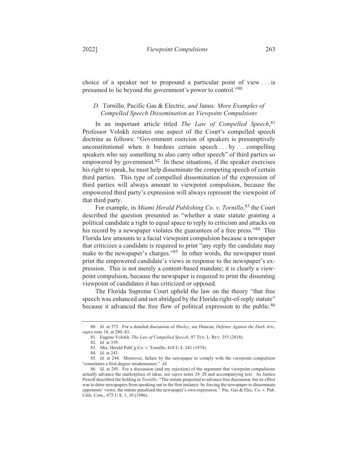choice of a speaker not to propound a particular point of view  $\dots$  is presumed to lie beyond the government's power to control."<sup>80</sup>

# *D.* Tornillo, Pacific Gas & Electric, and Janus: More Examples of *Compelled Speech Dissemination as Viewpoint Compulsions*

In an important article titled *The Law of Compelled Speech*,<sup>81</sup> Professor Volokh restates one aspect of the Court's compelled speech doctrine as follows: "Government coercion of speakers is presumptively unconstitutional when it burdens certain speech ... by ... compelling speakers who say something to also carry other speech" of third parties so empowered by government.<sup>82</sup> In these situations, if the speaker exercises his right to speak, he must help disseminate the competing speech of certain third parties. This type of compelled dissemination of the expression of third parties will always amount to viewpoint compulsion, because the empowered third party's expression will always represent the viewpoint of that third party.

For example, in Miami Herald Publishing Co. v. Tornillo,<sup>83</sup> the Court described the question presented as "whether a state statute granting a political candidate a right to equal space to reply to criticism and attacks on his record by a newspaper violates the guarantees of a free press.<sup>84</sup> This Florida law amounts to a facial viewpoint compulsion because a newspaper that criticizes a candidate is required to print "any reply the candidate may make to the newspaper's charges."<sup>85</sup> In other words, the newspaper must print the empowered candidate's views in response to the newspaper's expression. This is not merely a content-based mandate; it is clearly a viewpoint compulsion, because the newspaper is required to print the dissenting viewpoint of candidates it has criticized or opposed.

The Florida Supreme Court upheld the law on the theory "that free speech was enhanced and not abridged by the Florida right-of-reply statute" because it advanced the free flow of political expression to the public.<sup>86</sup>

<sup>80.</sup> *Id.* at 575. For a detailed discussion of *Hurley*, see Duncan, *Defense Against the Dark Arts*, *supra* note 18, at 280–83.

<sup>81.</sup> Eugene Volokh, *The Law of Compelled Speech*, 97 TEX. L. REV. 355 (2018).

<sup>82.</sup> *Id.* at 359.

<sup>83.</sup> Mia. Herald Publ'g Co. v. Tornillo, 418 U.S. 241 (1974).

<sup>84.</sup> *Id.* at 243.

<sup>85.</sup> Id. at 244. Moreover, failure by the newspaper to comply with the viewpoint compulsion "constitutes a first-degree misdemeanor." *Id.* 

<sup>86.</sup> *Id.* at 245. For a discussion (and my rejection) of the argument that viewpoint compulsions actually advance the marketplace of ideas, see *supra* notes 24–28 and accompanying text. As Justice Powell described the holding in Tornillo: "The statute purported to advance free discussion, but its effect was to deter newspapers from speaking out in the first instance: by forcing the newspaper to disseminate opponents' views, the statute penalized the newspaper's own expression." Pac. Gas & Elec. Co. v. Pub. Utils. Com., 475 U.S. 1, 10 (1986).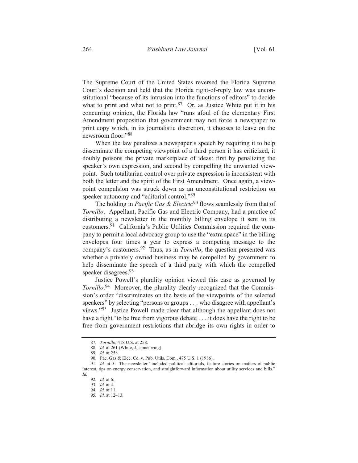The Supreme Court of the United States reversed the Florida Supreme Court's decision and held that the Florida right-of-reply law was unconstitutional "because of its intrusion into the functions of editors" to decide what to print and what not to print. <sup>87</sup> Or, as Justice White put it in his concurring opinion, the Florida law "runs afoul of the elementary First Amendment proposition that government may not force a newspaper to print copy which, in its journalistic discretion, it chooses to leave on the newsroom floor."88

When the law penalizes a newspaper's speech by requiring it to help disseminate the competing viewpoint of a third person it has criticized, it doubly poisons the private marketplace of ideas: first by penalizing the speaker's own expression, and second by compelling the unwanted viewpoint. Such totalitarian control over private expression is inconsistent with both the letter and the spirit of the First Amendment. Once again, a viewpoint compulsion was struck down as an unconstitutional restriction on speaker autonomy and "editorial control."89

The holding in Pacific Gas & Electric<sup>90</sup> flows seamlessly from that of Tornillo. Appellant, Pacific Gas and Electric Company, had a practice of distributing a newsletter in the monthly billing envelope it sent to its customers.<sup>91</sup> California's Public Utilities Commission required the company to permit a local advocacy group to use the "extra space" in the billing envelopes four times a year to express a competing message to the company's customers. <sup>92</sup> Thus, as in *Tornillo*, the question presented was whether a privately owned business may be compelled by government to help disseminate the speech of a third party with which the compelled speaker disagrees.<sup>93</sup>

Justice Powell's plurality opinion viewed this case as governed by *Tornillo.*<sup>94</sup> Moreover, the plurality clearly recognized that the Commission's order "discriminates on the basis of the viewpoints of the selected speakers" by selecting "persons or groups . . . who disagree with appellant's views."<sup>95</sup> Justice Powell made clear that although the appellant does not have a right "to be free from vigorous debate . . . it does have the right to be free from government restrictions that abridge its own rights in order to

<sup>87.</sup> Tornillo, 418 U.S. at 258.

<sup>88.</sup> Id. at 261 (White, J., concurring).

<sup>89.</sup> Id. at 258.

<sup>90.</sup> Pac. Gas & Elec. Co. v. Pub. Utils. Com., 475 U.S. 1 (1986).

<sup>91.</sup> Id. at 5. The newsletter "included political editorials, feature stories on matters of public interest, tips on energy conservation, and straightforward information about utility services and bills."  $Id$ 

<sup>92.</sup> Id. at 6.

<sup>93.</sup> Id. at 4.

<sup>94.</sup> Id. at 11.

<sup>95.</sup> Id. at 12-13.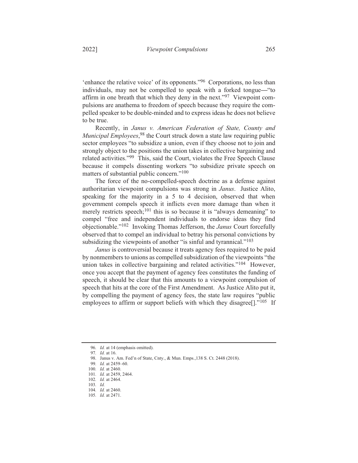'enhance the relative voice' of its opponents."<sup>96</sup> Corporations, no less than individuals, may not be compelled to speak with a forked tongue—"to affirm in one breath that which they deny in the next."<sup>97</sup> Viewpoint compulsions are anathema to freedom of speech because they require the compelled speaker to be double-minded and to express ideas he does not believe to be true.

Recently, in Janus v. American Federation of State, County and Municipal Employees,<sup>98</sup> the Court struck down a state law requiring public sector employees "to subsidize a union, even if they choose not to join and strongly object to the positions the union takes in collective bargaining and related activities."<sup>99</sup> This, said the Court, violates the Free Speech Clause because it compels dissenting workers "to subsidize private speech on matters of substantial public concern."<sup>100</sup>

The force of the no-compelled-speech doctrine as a defense against authoritarian viewpoint compulsions was strong in Janus. Justice Alito, speaking for the majority in a 5 to 4 decision, observed that when government compels speech it inflicts even more damage than when it merely restricts speech;<sup>101</sup> this is so because it is "always demeaning" to compel "free and independent individuals to endorse ideas they find objectionable."<sup>102</sup> Invoking Thomas Jefferson, the *Janus* Court forcefully observed that to compel an individual to betray his personal convictions by subsidizing the viewpoints of another "is sinful and tyrannical." $^{103}$ 

Janus is controversial because it treats agency fees required to be paid by nonmembers to unions as compelled subsidization of the viewpoints "the union takes in collective bargaining and related activities."<sup>104</sup> However, once you accept that the payment of agency fees constitutes the funding of speech, it should be clear that this amounts to a viewpoint compulsion of speech that hits at the core of the First Amendment. As Justice Alito put it, by compelling the payment of agency fees, the state law requires "public" employees to affirm or support beliefs with which they disagree<sup>[]</sup>."<sup>105</sup> If

<sup>96.</sup> Id. at 14 (emphasis omitted).

<sup>97.</sup> Id. at 16.

<sup>98.</sup> Janus v. Am. Fed'n of State, Cnty., & Mun. Emps., 138 S. Ct. 2448 (2018).

<sup>99.</sup> Id. at 2459-60.

<sup>100.</sup> Id. at 2460.

<sup>101.</sup> *Id.* at 2459, 2464.<br>102. *Id.* at 2464.

<sup>103.</sup>  $Id.$ 

<sup>104.</sup> Id. at 2460.

<sup>105.</sup> Id. at 2471.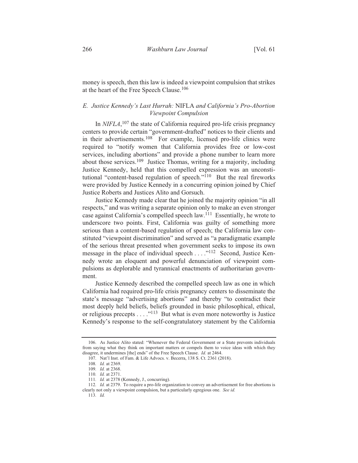money is speech, then this law is indeed a viewpoint compulsion that strikes at the heart of the Free Speech Clause.<sup>106</sup>

## E. Justice Kennedy's Last Hurrah: NIFLA and California's Pro-Abortion Viewpoint Compulsion

In  $NIFLA$ , <sup>107</sup>, the state of California required pro-life crisis pregnancy centers to provide certain "government-drafted" notices to their clients and in their advertisements.<sup>108</sup> For example, licensed pro-life clinics were required to "notify women that California provides free or low-cost services, including abortions" and provide a phone number to learn more about those services.<sup>109</sup> Justice Thomas, writing for a majority, including Justice Kennedy, held that this compelled expression was an unconstitutional "content-based regulation of speech."<sup>110</sup> But the real fireworks were provided by Justice Kennedy in a concurring opinion joined by Chief Justice Roberts and Justices Alito and Gorsuch.

Justice Kennedy made clear that he joined the majority opinion "in all respects," and was writing a separate opinion only to make an even stronger case against California's compelled speech law.<sup>111</sup> Essentially, he wrote to underscore two points. First, California was guilty of something more serious than a content-based regulation of speech; the California law constituted "viewpoint discrimination" and served as "a paradigmatic example of the serious threat presented when government seeks to impose its own message in the place of individual speech  $\dots$  ..."<sup>112</sup> Second, Justice Kennedy wrote an eloquent and powerful denunciation of viewpoint compulsions as deplorable and tyrannical enactments of authoritarian government.

Justice Kennedy described the compelled speech law as one in which California had required pro-life crisis pregnancy centers to disseminate the state's message "advertising abortions" and thereby "to contradict their most deeply held beliefs, beliefs grounded in basic philosophical, ethical, or religious precepts  $\dots$  ."<sup>113</sup> But what is even more noteworthy is Justice Kennedy's response to the self-congratulatory statement by the California

<sup>106.</sup> As Justice Alito stated: "Whenever the Federal Government or a State prevents individuals from saying what they think on important matters or compels them to voice ideas with which they disagree, it undermines [the] ends" of the Free Speech Clause. Id. at 2464.

<sup>107.</sup> Nat'l Inst. of Fam. & Life Advocs. v. Becerra, 138 S. Ct. 2361 (2018).

<sup>108.</sup> Id. at 2369.

<sup>109.</sup> Id. at 2368.

<sup>110.</sup> Id. at 2371.

<sup>111.</sup> Id. at 2378 (Kennedy, J., concurring).

<sup>112.</sup> Id. at 2379. To require a pro-life organization to convey an advertisement for free abortions is clearly not only a viewpoint compulsion, but a particularly egregious one. See id.

<sup>113.</sup> Id.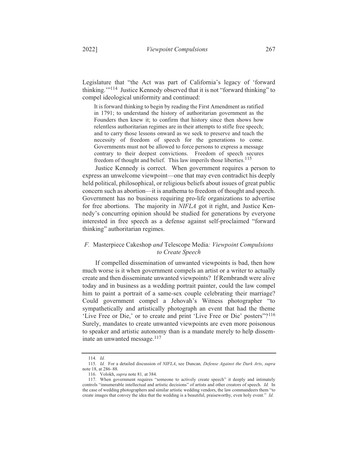2022]

Legislature that "the Act was part of California's legacy of 'forward thinking."<sup>114</sup> Justice Kennedy observed that it is not "forward thinking" to compel ideological uniformity and continued:

It is forward thinking to begin by reading the First Amendment as ratified in 1791; to understand the history of authoritarian government as the Founders then knew it; to confirm that history since then shows how relentless authoritarian regimes are in their attempts to stifle free speech; and to carry those lessons onward as we seek to preserve and teach the necessity of freedom of speech for the generations to come. Governments must not be allowed to force persons to express a message contrary to their deepest convictions. Freedom of speech secures freedom of thought and belief. This law imperils those liberties.<sup>115</sup>

Justice Kennedy is correct. When government requires a person to express an unwelcome viewpoint—one that may even contradict his deeply held political, philosophical, or religious beliefs about issues of great public concern such as abortion—it is anathema to freedom of thought and speech. Government has no business requiring pro-life organizations to advertise for free abortions. The majority in NIFLA got it right, and Justice Kennedy's concurring opinion should be studied for generations by everyone interested in free speech as a defense against self-proclaimed "forward thinking" authoritarian regimes.

# F. Masterpiece Cakeshop and Telescope Media: Viewpoint Compulsions to Create Speech

If compelled dissemination of unwanted viewpoints is bad, then how much worse is it when government compels an artist or a writer to actually create and then disseminate unwanted viewpoints? If Rembrandt were alive today and in business as a wedding portrait painter, could the law compel him to paint a portrait of a same-sex couple celebrating their marriage? Could government compel a Jehovah's Witness photographer "to sympathetically and artistically photograph an event that had the theme 'Live Free or Die,' or to create and print 'Live Free or Die' posters''?<sup>116</sup> Surely, mandates to create unwanted viewpoints are even more poisonous to speaker and artistic autonomy than is a mandate merely to help disseminate an unwanted message.<sup>117</sup>

<sup>114.</sup> Id.

<sup>115.</sup> Id. For a detailed discussion of NIFLA, see Duncan, Defense Against the Dark Arts, supra note 18, at 286-88.

<sup>116.</sup> Volokh, *supra* note 81, at 384.<br>117. When government requires "someone to actively create speech" it deeply and intimately controls "innumerable intellectual and artistic decisions" of artists and other creators of speech. Id. In the case of wedding photographers and similar artistic wedding vendors, the law commandeers them "to create images that convey the idea that the wedding is a beautiful, praiseworthy, even holy event." Id.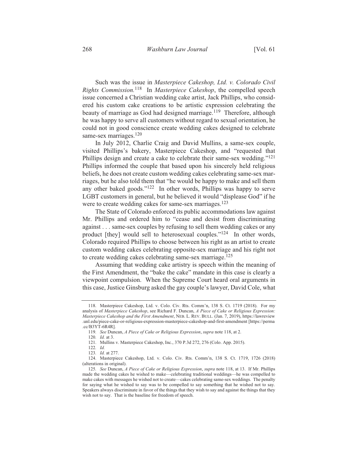Such was the issue in Masterpiece Cakeshop, Ltd. v. Colorado Civil Rights Commission.<sup>118</sup> In Masterpiece Cakeshop, the compelled speech issue concerned a Christian wedding cake artist, Jack Phillips, who considered his custom cake creations to be artistic expression celebrating the beauty of marriage as God had designed marriage.<sup>119</sup> Therefore, although he was happy to serve all customers without regard to sexual orientation, he could not in good conscience create wedding cakes designed to celebrate same-sex marriages.<sup>120</sup>

In July 2012, Charlie Craig and David Mullins, a same-sex couple, visited Phillips's bakery, Masterpiece Cakeshop, and "requested that Phillips design and create a cake to celebrate their same-sex wedding."<sup>121</sup> Phillips informed the couple that based upon his sincerely held religious beliefs, he does not create custom wedding cakes celebrating same-sex marriages, but he also told them that "he would be happy to make and sell them any other baked goods." $122$  In other words, Phillips was happy to serve LGBT customers in general, but he believed it would "displease God" if he were to create wedding cakes for same-sex marriages.<sup>123</sup>

The State of Colorado enforced its public accommodations law against Mr. Phillips and ordered him to "cease and desist from discriminating against... same-sex couples by refusing to sell them wedding cakes or any product [they] would sell to heterosexual couples."<sup>124</sup> In other words, Colorado required Phillips to choose between his right as an artist to create custom wedding cakes celebrating opposite-sex marriage and his right not to create wedding cakes celebrating same-sex marriage.<sup>125</sup>

Assuming that wedding cake artistry is speech within the meaning of the First Amendment, the "bake the cake" mandate in this case is clearly a viewpoint compulsion. When the Supreme Court heard oral arguments in this case, Justice Ginsburg asked the gay couple's lawyer, David Cole, what

<sup>118.</sup> Masterpiece Cakeshop, Ltd. v. Colo. Civ. Rts. Comm'n, 138 S. Ct. 1719 (2018). For my analysis of Masterpiece Cakeshop, see Richard F. Duncan, A Piece of Cake or Religious Expression: Masterpiece Cakeshop and the First Amendment, NEB. L. REV. BULL. (Jan. 7, 2019), https://lawreview .unl.edu/piece-cake-or-religious-expression-masterpiece-cakeshop-and-first-amendment [https://perma  $cc/B3YT-6R4R$ ].

<sup>119.</sup> See Duncan, A Piece of Cake or Religious Expression, supra note 118, at 2.

<sup>120.</sup> *Id.* at 3.

<sup>121.</sup> Mullins v. Masterpiece Cakeshop, Inc., 370 P.3d 272, 276 (Colo. App. 2015).

<sup>122.</sup> *Id.*<br>123. *Id.* at 277.

<sup>124.</sup> Masterpiece Cakeshop, Ltd. v. Colo. Civ. Rts. Comm'n, 138 S. Ct. 1719, 1726 (2018) (alterations in original).

<sup>125.</sup> See Duncan, A Piece of Cake or Religious Expression, supra note 118, at 13. If Mr. Phillips made the wedding cakes he wished to make—celebrating traditional weddings—he was compelled to make cakes with messages he wished not to create—cakes celebrating same-sex weddings. The penalty for saying what he wished to say was to be compelled to say something that he wished not to say. Speakers always discriminate in favor of the things that they wish to say and against the things that they wish not to say. That is the baseline for freedom of speech.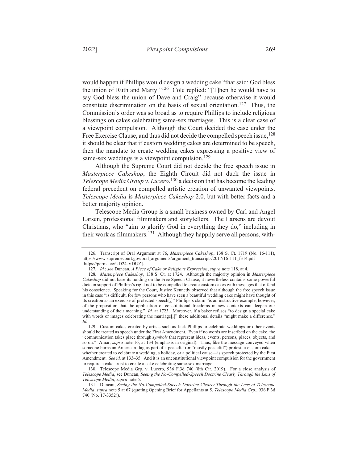would happen if Phillips would design a wedding cake "that said: God bless the union of Ruth and Marty."<sup>126</sup> Cole replied: "[T]hen he would have to say God bless the union of Dave and Craig" because otherwise it would constitute discrimination on the basis of sexual orientation.<sup>127</sup> Thus, the Commission's order was so broad as to require Phillips to include religious blessings on cakes celebrating same-sex marriages. This is a clear case of a viewpoint compulsion. Although the Court decided the case under the Free Exercise Clause, and thus did not decide the compelled speech issue, <sup>128</sup> it should be clear that if custom wedding cakes are determined to be speech, then the mandate to create wedding cakes expressing a positive view of same-sex weddings is a viewpoint compulsion.<sup>129</sup>

Although the Supreme Court did not decide the free speech issue in Masterpiece Cakeshop, the Eighth Circuit did not duck the issue in Telescope Media Group v. Lucero,<sup>130</sup> a decision that has become the leading federal precedent on compelled artistic creation of unwanted viewpoints. Telescope Media is Masterpiece Cakeshop 2.0, but with better facts and a better majority opinion.

Telescope Media Group is a small business owned by Carl and Angel Larsen, professional filmmakers and storytellers. The Larsens are devout Christians, who "aim to glorify God in everything they do," including in their work as filmmakers.<sup>131</sup> Although they happily serve all persons, with-

<sup>126.</sup> Transcript of Oral Argument at 76, Masterpiece Cakeshop, 138 S. Ct. 1719 (No. 16-111), https://www.supremecourt.gov/oral\_arguments/argument\_transcripts/2017/16-111\_f314.pdf [https://perma.cc/UD24-VDUZ].

<sup>127.</sup> Id.; see Duncan, A Piece of Cake or Religious Expression, supra note 118, at 4.

<sup>128.</sup> Masterpiece Cakeshop, 138 S. Ct. at 1724. Although the majority opinion in Masterpiece Cakeshop did not base its holding on the Free Speech Clause, it nevertheless contains some powerful dicta in support of Phillips's right not to be compelled to create custom cakes with messages that offend his conscience. Speaking for the Court, Justice Kennedy observed that although the free speech issue in this case "is difficult, for few persons who have seen a beautiful wedding cake might have thought of its creation as an exercise of protected speech[,]" Phillips's claim "is an instructive example, however, of the proposition that the application of constitutional freedoms in new contexts can deepen our understanding of their meaning." Id. at 1723. Moreover, if a baker refuses "to design a special cake with words or images celebrating the marriage[,]" these additional details "might make a difference." Id.

<sup>129.</sup> Custom cakes created by artists such as Jack Phillips to celebrate weddings or other events should be treated as speech under the First Amendment. Even if no words are inscribed on the cake, the "communication takes place through *symbols* that represent ideas, events, persons, places, objects, and so on." Amar, *supra* note 16, at 134 (emphasis in original). Thus, like the message conveyed when someone burns an American flag as part of a peaceful (or "mostly peaceful") protest, a custom cake whether created to celebrate a wedding, a holiday, or a political cause—is speech protected by the First Amendment. See id. at 133-35. And it is an unconstitutional viewpoint compulsion for the government to require a cake artist to create a cake celebrating same-sex marriage.

<sup>130.</sup> Telescope Media Grp. v. Lucero, 936 F.3d 740 (8th Cir. 2019). For a close analysis of Telescope Media, see Duncan, Seeing the No-Compelled-Speech Doctrine Clearly Through the Lens of Telescope Media, supra note 5.

<sup>131.</sup> Duncan, Seeing the No-Compelled-Speech Doctrine Clearly Through the Lens of Telescope Media, supra note 5 at 67 (quoting Opening Brief for Appellants at 5, Telescope Media Grp., 936 F.3d 740 (No. 17-3352)).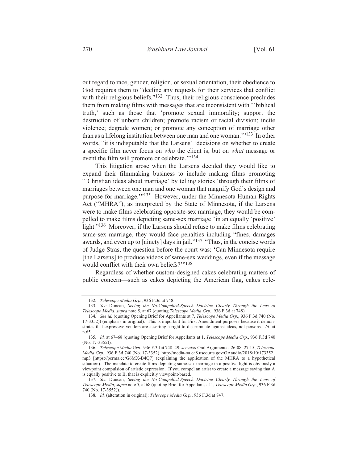out regard to race, gender, religion, or sexual orientation, their obedience to God requires them to "decline any requests for their services that conflict with their religious beliefs." $132$  Thus, their religious conscience precludes them from making films with messages that are inconsistent with "biblical truth,' such as those that 'promote sexual immorality; support the destruction of unborn children; promote racism or racial division; incite violence; degrade women; or promote any conception of marriage other than as a lifelong institution between one man and one woman."<sup>133</sup> In other words, "it is indisputable that the Larsens' 'decisions on whether to create a specific film never focus on who the client is, but on what message or event the film will promote or celebrate."<sup>134</sup>

This litigation arose when the Larsens decided they would like to expand their filmmaking business to include making films promoting "Christian ideas about marriage' by telling stories 'through their films of marriages between one man and one woman that magnify God's design and purpose for marriage."<sup>135</sup> However, under the Minnesota Human Rights Act ("MHRA"), as interpreted by the State of Minnesota, if the Larsens were to make films celebrating opposite-sex marriage, they would be compelled to make films depicting same-sex marriage "in an equally 'positive' light."<sup>136</sup> Moreover, if the Larsens should refuse to make films celebrating same-sex marriage, they would face penalties including "fines, damages" awards, and even up to [ninety] days in jail."<sup>137</sup> "Thus, in the concise words of Judge Stras, the question before the court was: 'Can Minnesota require [the Larsens] to produce videos of same-sex weddings, even if the message would conflict with their own beliefs?"<sup>138</sup>

Regardless of whether custom-designed cakes celebrating matters of public concern—such as cakes depicting the American flag, cakes cele-

<sup>132.</sup> Telescope Media Grp., 936 F.3d at 748.<br>133. See Duncan, Seeing the No-Compelled-Speech Doctrine Clearly Through the Lens of Telescope Media, supra note 5, at 67 (quoting Telescope Media Grp., 936 F.3d at 748).

<sup>134.</sup> See id. (quoting Opening Brief for Appellants at 7, Telescope Media Grp., 936 F.3d 740 (No. 17-3352)) (emphasis in original). This is important for First Amendment purposes because it demonstrates that expressive vendors are asserting a right to discriminate against ideas, not persons. Id. at n.65.

<sup>135.</sup> Id. at 67–68 (quoting Opening Brief for Appellants at 1, Telescope Media Grp., 936 F.3d 740) (No. 17-3352)).

<sup>136.</sup> Telescope Media Grp., 936 F.3d at 748-49; see also Oral Argument at 26:08-27:15, Telescope Media Grp., 936 F.3d 740 (No. 17-3352), http://media-oa.ca8.uscourts.gov/OAaudio/2018/10/173352. mp3 [https://perma.cc/G6MX-B4Q7] (explaining the application of the MHRA to a hypothetical situation). The mandate to create films depicting same-sex marriage in a positive light is obviously a viewpoint compulsion of artistic expression. If you compel an artist to create a message saying that A is equally positive to B, that is explicitly viewpoint-based.

<sup>137.</sup> See Duncan, Seeing the No-Compelled-Speech Doctrine Clearly Through the Lens of Telescope Media, supra note 5, at 68 (quoting Brief for Appellants at 1, Telescope Media Grp., 936 F.3d 740 (No. 17-3552)).

<sup>138.</sup> Id. (alteration in original); Telescope Media Grp., 936 F.3d at 747.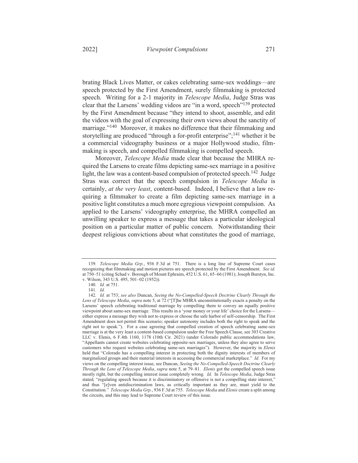brating Black Lives Matter, or cakes celebrating same-sex weddings—are

speech protected by the First Amendment, surely filmmaking is protected speech. Writing for a 2-1 majority in *Telescope Media*, Judge Stras was clear that the Larsens' wedding videos are "in a word, speech"<sup>139</sup> protected by the First Amendment because "they intend to shoot, assemble, and edit the videos with the goal of expressing their own views about the sanctity of marriage."<sup>140</sup> Moreover, it makes no difference that their filmmaking and storytelling are produced "through a for-profit enterprise";<sup>141</sup> whether it be a commercial videography business or a major Hollywood studio, filmmaking is speech, and compelled filmmaking is compelled speech.

Moreover, Telescope Media made clear that because the MHRA required the Larsens to create films depicting same-sex marriage in a positive light, the law was a content-based compulsion of protected speech.<sup>142</sup> Judge Stras was correct that the speech compulsion in Telescope Media is certainly, at the very least, content-based. Indeed, I believe that a law requiring a filmmaker to create a film depicting same-sex marriage in a positive light constitutes a much more egregious viewpoint compulsion. As applied to the Larsens' videography enterprise, the MHRA compelled an unwilling speaker to express a message that takes a particular ideological position on a particular matter of public concern. Notwithstanding their deepest religious convictions about what constitutes the good of marriage,

<sup>139.</sup> Telescope Media Grp., 936 F.3d at 751. There is a long line of Supreme Court cases recognizing that filmmaking and motion pictures are speech protected by the First Amendment. See id. at 750–51 (citing Schad v. Borough of Mount Ephraim, 452  $\dot{\text{U}}$ .S. 61, 65–66 (1981); Joseph Burstyn, Inc. v. Wilson, 343 U.S. 495, 501-02 (1952)).

<sup>140.</sup> Id. at 751.

<sup>141.</sup> Id.

<sup>142.</sup> Id. at 753; see also Duncan, Seeing the No-Compelled-Speech Doctrine Clearly Through the Lens of Telescope Media, supra note 5, at 72 ("[T]he MHRA unconstitutionally exacts a penalty on the Larsens' speech celebrating traditional marriage by compelling them to convey an equally positive viewpoint about same-sex marriage. This results in a 'your money or your life' choice for the Larsenseither express a message they wish not to express or choose the safe harbor of self-censorship. The First Amendment does not permit this scenario; speaker autonomy includes both the right to speak and the right not to speak."). For a case agreeing that compelled creation of speech celebrating same-sex marriage is at the very least a content-based compulsion under the Free Speech Clause, see 303 Creative LLC v. Elenis, 6 F.4th 1160, 1178 (10th Cir. 2021) (under Colorado public accommodations law, "Appellants cannot create websites celebrating opposite-sex marriages, unless they also agree to serve customers who request websites celebrating same-sex marriages"). However, the majority in Elenis held that "Colorado has a compelling interest in protecting both the dignity interests of members of marginalized groups and their material interests in accessing the commercial marketplace." Id. For my views on the compelling interest issue, see Duncan, Seeing the No-Compelled-Speech Doctrine Clearly Through the Lens of Telescope Media, supra note 5, at 79-81. Elenis got the compelled speech issue mostly right, but the compelling interest issue completely wrong. Id. In Telescope Media, Judge Stras stated, "regulating speech because it is discriminatory or offensive is not a compelling state interest," and thus "[e]ven antidiscrimination laws, as critically important as they are, must yield to the Constitution." Telescope Media Grp., 936 F.3d at 755. Telescope Media and Elenis create a split among the circuits, and this may lead to Supreme Court review of this issue.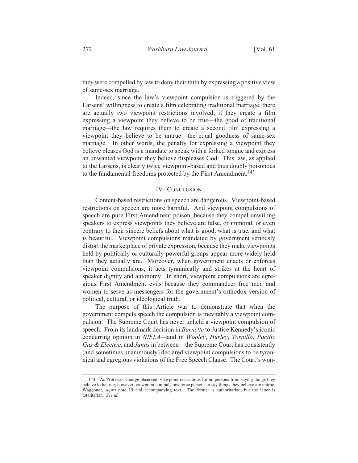they were compelled by law to deny their faith by expressing a positive view of same-sex marriage.

Indeed, since the law's viewpoint compulsion is triggered by the Larsens' willingness to create a film celebrating traditional marriage, there are actually two viewpoint restrictions involved; if they create a film expressing a viewpoint they believe to be true—the good of traditional marriage—the law requires them to create a second film expressing a viewpoint they believe to be untrue—the equal goodness of same-sex marriage. In other words, the penalty for expressing a viewpoint they believe pleases God is a mandate to speak with a forked tongue and express an unwanted viewpoint they believe displeases God. This law, as applied to the Larsens, is clearly twice viewpoint-based and thus doubly poisonous to the fundamental freedoms protected by the First Amendment.<sup>143</sup>

### **IV. CONCLUSION**

Content-based restrictions on speech are dangerous. Viewpoint-based restrictions on speech are more harmful. And viewpoint compulsions of speech are pure First Amendment poison, because they compel unwilling speakers to express viewpoints they believe are false, or immoral, or even contrary to their sincere beliefs about what is good, what is true, and what is beautiful. Viewpoint compulsions mandated by government seriously distort the marketplace of private expression, because they make viewpoints held by politically or culturally powerful groups appear more widely held than they actually are. Moreover, when government enacts or enforces viewpoint compulsions, it acts tyrannically and strikes at the heart of speaker dignity and autonomy. In short, viewpoint compulsions are egregious First Amendment evils because they commandeer free men and women to serve as messengers for the government's orthodox version of political, cultural, or ideological truth.

The purpose of this Article was to demonstrate that when the government compels speech the compulsion is inevitably a viewpoint compulsion. The Supreme Court has never upheld a viewpoint compulsion of speech. From its landmark decision in Barnette to Justice Kennedy's iconic concurring opinion in NIFLA—and in Wooley, Hurley, Tornillo, Pacific Gas & Electric, and Janus in between—the Supreme Court has consistently (and sometimes unanimously) declared viewpoint compulsions to be tyrannical and egregious violations of the Free Speech Clause. The Court's won-

<sup>143.</sup> As Professor George observed, viewpoint restrictions forbid persons from saying things they believe to be true; however, viewpoint compulsions force persons to say things they believe are untrue. Waggoner, *supra* note 19 and accompanying text. The former is authoritarian, but the latter is totalitarian. See id.